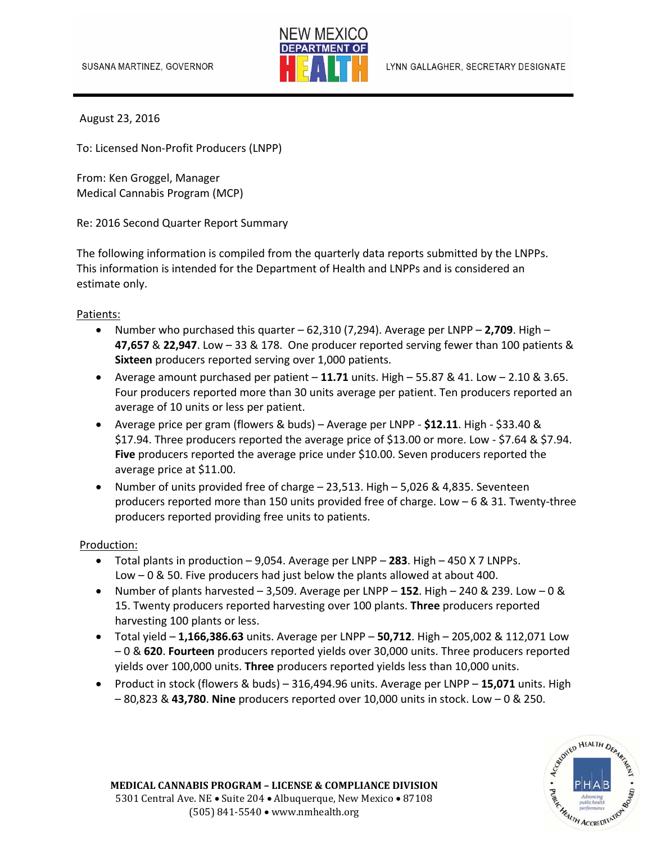

August 23, 2016

To: Licensed Non‐Profit Producers (LNPP)

From: Ken Groggel, Manager Medical Cannabis Program (MCP)

Re: 2016 Second Quarter Report Summary

The following information is compiled from the quarterly data reports submitted by the LNPPs. This information is intended for the Department of Health and LNPPs and is considered an estimate only.

## Patients:

- Number who purchased this quarter  $-62,310$  (7,294). Average per LNPP  $-2,709$ . High  $-$ **47,657** & **22,947**. Low – 33 & 178. One producer reported serving fewer than 100 patients & **Sixteen** producers reported serving over 1,000 patients.
- Average amount purchased per patient  $-11.71$  units. High  $-55.87 \& 41.$  Low  $-2.10 \& 3.65$ . Four producers reported more than 30 units average per patient. Ten producers reported an average of 10 units or less per patient.
- Average price per gram (flowers & buds) Average per LNPP ‐ **\$12.11**. High ‐ \$33.40 & \$17.94. Three producers reported the average price of \$13.00 or more. Low ‐ \$7.64 & \$7.94. **Five** producers reported the average price under \$10.00. Seven producers reported the average price at \$11.00.
- Number of units provided free of charge 23,513. High 5,026 & 4,835. Seventeen producers reported more than 150 units provided free of charge. Low – 6 & 31. Twenty‐three producers reported providing free units to patients.

## Production:

- Total plants in production 9,054. Average per LNPP **283**. High 450 X 7 LNPPs. Low – 0 & 50. Five producers had just below the plants allowed at about 400.
- Number of plants harvested 3,509. Average per LNPP **152**. High 240 & 239. Low 0 & 15. Twenty producers reported harvesting over 100 plants. **Three** producers reported harvesting 100 plants or less.
- Total yield **1,166,386.63** units. Average per LNPP **50,712**. High 205,002 & 112,071 Low – 0 & **620**. **Fourteen** producers reported yields over 30,000 units. Three producers reported yields over 100,000 units. **Three** producers reported yields less than 10,000 units.
- Product in stock (flowers & buds) 316,494.96 units. Average per LNPP **15,071** units. High – 80,823 & **43,780**. **Nine** producers reported over 10,000 units in stock. Low – 0 & 250.